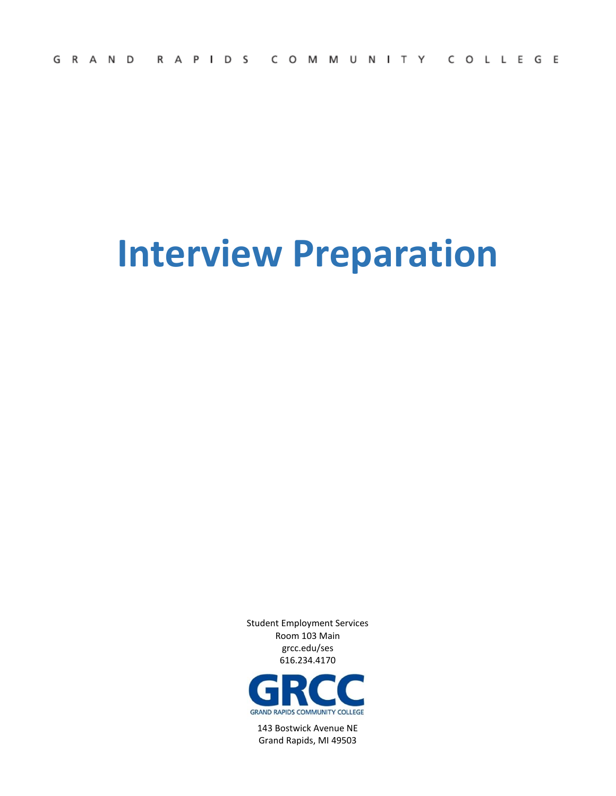# **Interview Preparation**

Student Employment Services Room 103 Main grcc.edu/ses 616.234.4170



143 Bostwick Avenue NE Grand Rapids, MI 49503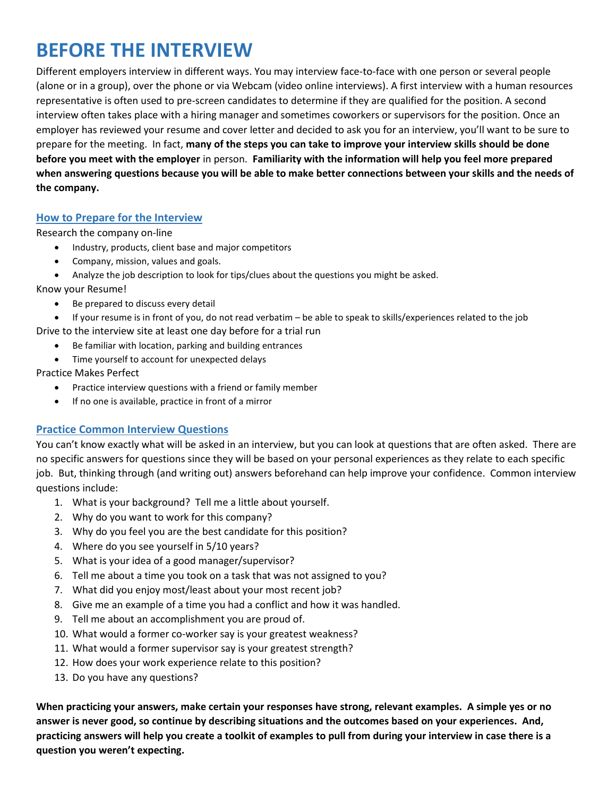### **BEFORE THE INTERVIEW**

Different employers interview in different ways. You may interview face-to-face with one person or several people (alone or in a group), over the phone or via Webcam (video online interviews). A first interview with a human resources representative is often used to pre-screen candidates to determine if they are qualified for the position. A second interview often takes place with a hiring manager and sometimes coworkers or supervisors for the position. Once an employer has reviewed your resume and cover letter and decided to ask you for an interview, you'll want to be sure to prepare for the meeting. In fact, **many of the steps you can take to improve your interview skills should be done before you meet with the employer** in person. **Familiarity with the information will help you feel more prepared when answering questions because you will be able to make better connections between your skills and the needs of the company.**

#### **How to Prepare for the Interview**

Research the company on-line

- Industry, products, client base and major competitors
- Company, mission, values and goals.
- Analyze the job description to look for tips/clues about the questions you might be asked.

Know your Resume!

- Be prepared to discuss every detail
- If your resume is in front of you, do not read verbatim be able to speak to skills/experiences related to the job

Drive to the interview site at least one day before for a trial run

- Be familiar with location, parking and building entrances
- Time yourself to account for unexpected delays

Practice Makes Perfect

- Practice interview questions with a friend or family member
- If no one is available, practice in front of a mirror

#### **Practice Common Interview Questions**

You can't know exactly what will be asked in an interview, but you can look at questions that are often asked. There are no specific answers for questions since they will be based on your personal experiences as they relate to each specific job. But, thinking through (and writing out) answers beforehand can help improve your confidence. Common interview questions include:

- 1. What is your background? Tell me a little about yourself.
- 2. Why do you want to work for this company?
- 3. Why do you feel you are the best candidate for this position?
- 4. Where do you see yourself in 5/10 years?
- 5. What is your idea of a good manager/supervisor?
- 6. Tell me about a time you took on a task that was not assigned to you?
- 7. What did you enjoy most/least about your most recent job?
- 8. Give me an example of a time you had a conflict and how it was handled.
- 9. Tell me about an accomplishment you are proud of.
- 10. What would a former co-worker say is your greatest weakness?
- 11. What would a former supervisor say is your greatest strength?
- 12. How does your work experience relate to this position?
- 13. Do you have any questions?

**When practicing your answers, make certain your responses have strong, relevant examples. A simple yes or no answer is never good, so continue by describing situations and the outcomes based on your experiences. And, practicing answers will help you create a toolkit of examples to pull from during your interview in case there is a question you weren't expecting.**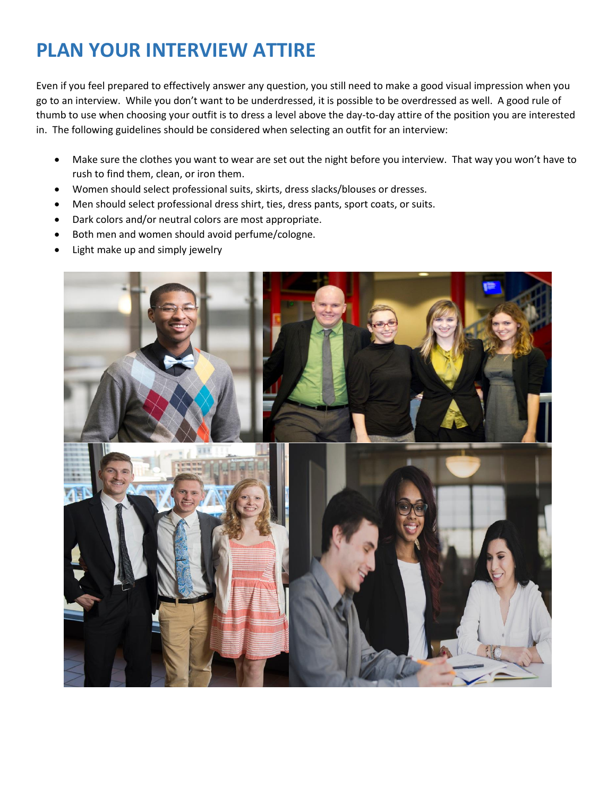## **PLAN YOUR INTERVIEW ATTIRE**

Even if you feel prepared to effectively answer any question, you still need to make a good visual impression when you go to an interview. While you don't want to be underdressed, it is possible to be overdressed as well. A good rule of thumb to use when choosing your outfit is to dress a level above the day-to-day attire of the position you are interested in. The following guidelines should be considered when selecting an outfit for an interview:

- Make sure the clothes you want to wear are set out the night before you interview. That way you won't have to rush to find them, clean, or iron them.
- Women should select professional suits, skirts, dress slacks/blouses or dresses.
- Men should select professional dress shirt, ties, dress pants, sport coats, or suits.
- Dark colors and/or neutral colors are most appropriate.
- Both men and women should avoid perfume/cologne.
- Light make up and simply jewelry

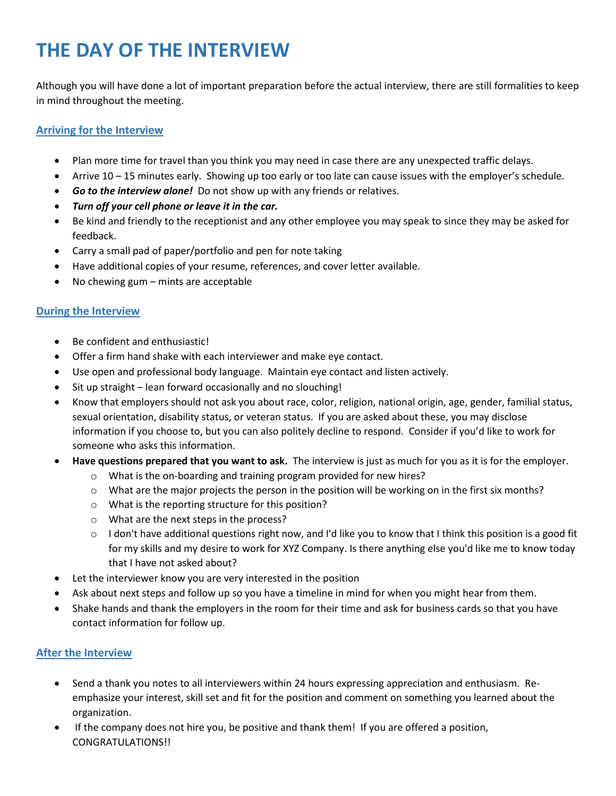## **THE DAY OF THE INTERVIEW**

Although you will have done a lot of important preparation before the actual interview, there are still formalities to keep in mind throughout the meeting.

#### **Arriving for the Interview**

- Plan more time for travel than you think you may need in case there are any unexpected traffic delays.
- Arrive 10 15 minutes early. Showing up too early or too late can cause issues with the employer's schedule.
- *Go to the interview alone!* Do not show up with any friends or relatives.
- *Turn off your cell phone or leave it in the car.*
- Be kind and friendly to the receptionist and any other employee you may speak to since they may be asked for feedback.
- Carry a small pad of paper/portfolio and pen for note taking
- Have additional copies of your resume, references, and cover letter available.
- No chewing gum mints are acceptable

#### **During the Interview**

- Be confident and enthusiastic!
- Offer a firm hand shake with each interviewer and make eye contact.
- Use open and professional body language. Maintain eye contact and listen actively.
- Sit up straight lean forward occasionally and no slouching!
- Know that employers should not ask you about race, color, religion, national origin, age, gender, familial status, sexual orientation, disability status, or veteran status. If you are asked about these, you may disclose information if you choose to, but you can also politely decline to respond. Consider if you'd like to work for someone who asks this information.
- **Have questions prepared that you want to ask.** The interview is just as much for you as it is for the employer.
	- o What is the on-boarding and training program provided for new hires?
	- $\circ$  What are the major projects the person in the position will be working on in the first six months?
	- o What is the reporting structure for this position?
	- o What are the next steps in the process?
	- $\circ$  I don't have additional questions right now, and I'd like you to know that I think this position is a good fit for my skills and my desire to work for XYZ Company. Is there anything else you'd like me to know today that I have not asked about?
- Let the interviewer know you are very interested in the position
- Ask about next steps and follow up so you have a timeline in mind for when you might hear from them.
- Shake hands and thank the employers in the room for their time and ask for business cards so that you have contact information for follow up.

### **After the Interview**

- Send a thank you notes to all interviewers within 24 hours expressing appreciation and enthusiasm. Reemphasize your interest, skill set and fit for the position and comment on something you learned about the organization.
- If the company does not hire you, be positive and thank them! If you are offered a position, CONGRATULATIONS!!